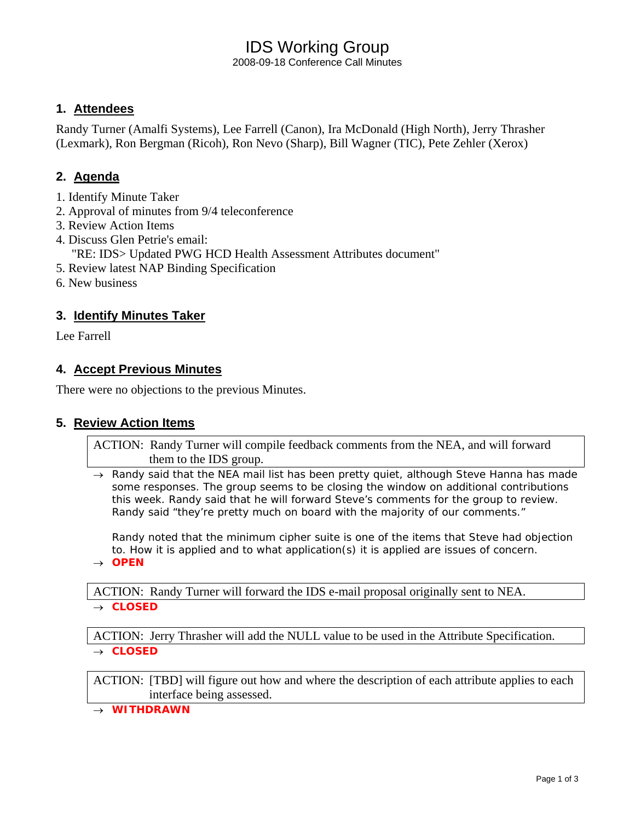# IDS Working Group

2008-09-18 Conference Call Minutes

## **1. Attendees**

Randy Turner (Amalfi Systems), Lee Farrell (Canon), Ira McDonald (High North), Jerry Thrasher (Lexmark), Ron Bergman (Ricoh), Ron Nevo (Sharp), Bill Wagner (TIC), Pete Zehler (Xerox)

## **2. Agenda**

- 1. Identify Minute Taker
- 2. Approval of minutes from 9/4 teleconference
- 3. Review Action Items
- 4. Discuss Glen Petrie's email:
	- "RE: IDS> Updated PWG HCD Health Assessment Attributes document"
- 5. Review latest NAP Binding Specification
- 6. New business

### **3. Identify Minutes Taker**

Lee Farrell

### **4. Accept Previous Minutes**

There were no objections to the previous Minutes.

### **5. Review Action Items**

ACTION: Randy Turner will compile feedback comments from the NEA, and will forward them to the IDS group.

→ *Randy said that the NEA mail list has been pretty quiet, although Steve Hanna has made some responses. The group seems to be closing the window on additional contributions this week. Randy said that he will forward Steve's comments for the group to review. Randy said "they're pretty much on board with the majority of our comments."* 

*Randy noted that the minimum cipher suite is one of the items that Steve had objection to. How it is applied and to what application(s) it is applied are issues of concern.*

→ *OPEN* 

ACTION: Randy Turner will forward the IDS e-mail proposal originally sent to NEA.

→ *CLOSED* 

ACTION: Jerry Thrasher will add the NULL value to be used in the Attribute Specification. → *CLOSED* 

ACTION: [TBD] will figure out how and where the description of each attribute applies to each interface being assessed.

→ *WITHDRAWN*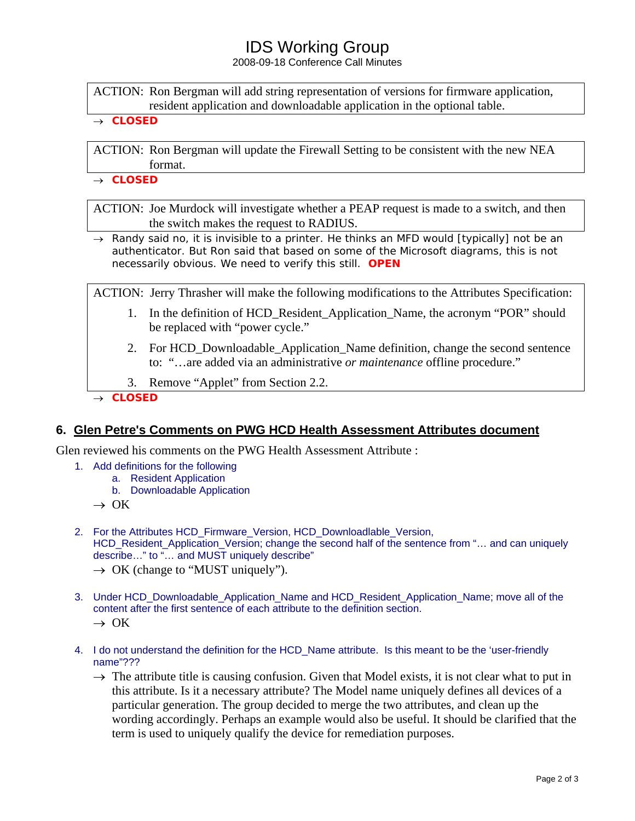## IDS Working Group

2008-09-18 Conference Call Minutes

ACTION: Ron Bergman will add string representation of versions for firmware application, resident application and downloadable application in the optional table.

#### → *CLOSED*

ACTION: Ron Bergman will update the Firewall Setting to be consistent with the new NEA format.

→ *CLOSED*

ACTION: Joe Murdock will investigate whether a PEAP request is made to a switch, and then the switch makes the request to RADIUS.

→ *Randy said no, it is invisible to a printer. He thinks an MFD would [typically] not be an authenticator. But Ron said that based on some of the Microsoft diagrams, this is not necessarily obvious. We need to verify this still. OPEN*

ACTION: Jerry Thrasher will make the following modifications to the Attributes Specification:

- 1. In the definition of HCD\_Resident\_Application\_Name, the acronym "POR" should be replaced with "power cycle."
- 2. For HCD\_Downloadable\_Application\_Name definition, change the second sentence to: "…are added via an administrative *or maintenance* offline procedure."
- 3. Remove "Applet" from Section 2.2.
- → *CLOSED*

### **6. Glen Petre's Comments on PWG HCD Health Assessment Attributes document**

Glen reviewed his comments on the PWG Health Assessment Attribute :

- 1. Add definitions for the following
	- a. Resident Application
	- b. Downloadable Application
	- $\rightarrow$  OK
- 2. For the Attributes HCD\_Firmware\_Version, HCD\_Downloadlable\_Version, HCD Resident Application Version; change the second half of the sentence from "... and can uniquely describe…" to "… and MUST uniquely describe"
	- $\rightarrow$  OK (change to "MUST uniquely").
- 3. Under HCD\_Downloadable\_Application\_Name and HCD\_Resident\_Application\_Name; move all of the content after the first sentence of each attribute to the definition section.
	- $\rightarrow$  OK
- 4. I do not understand the definition for the HCD\_Name attribute. Is this meant to be the 'user-friendly name"???
	- $\rightarrow$  The attribute title is causing confusion. Given that Model exists, it is not clear what to put in this attribute. Is it a necessary attribute? The Model name uniquely defines all devices of a particular generation. The group decided to merge the two attributes, and clean up the wording accordingly. Perhaps an example would also be useful. It should be clarified that the term is used to uniquely qualify the device for remediation purposes.